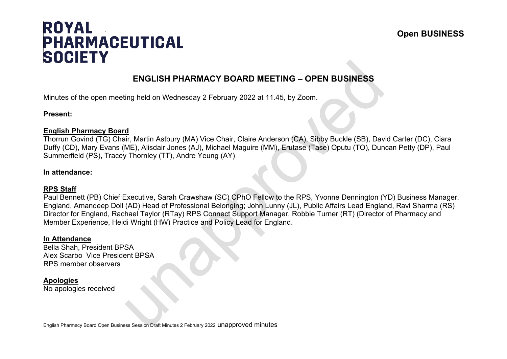# **ROYAL PHARMACEUTICAL SOCIETY**

## **ENGLISH PHARMACY BOARD MEETING – OPEN BUSINESS**

Minutes of the open meeting held on Wednesday 2 February 2022 at 11.45, by Zoom.

#### **Present:**

#### **English Pharmacy Board**

Thorrun Govind (TG) Chair, Martin Astbury (MA) Vice Chair, Claire Anderson (CA), Sibby Buckle (SB), David Carter (DC), Ciara Duffy (CD), Mary Evans (ME), Alisdair Jones (AJ), Michael Maguire (MM), Erutase (Tase) Oputu (TO), Duncan Petty (DP), Paul Summerfield (PS), Tracey Thornley (TT), Andre Yeung (AY)

#### **In attendance:**

### **RPS Staff**

Paul Bennett (PB) Chief Executive, Sarah Crawshaw (SC) CPhO Fellow to the RPS, Yvonne Dennington (YD) Business Manager, England, Amandeep Doll (AD) Head of Professional Belonging; John Lunny (JL), Public Affairs Lead England, Ravi Sharma (RS) Director for England, Rachael Taylor (RTay) RPS Connect Support Manager, Robbie Turner (RT) (Director of Pharmacy and Member Experience, Heidi Wright (HW) Practice and Policy Lead for England.

#### **In Attendance**

Bella Shah, President BPSA Alex Scarbo Vice President BPSA RPS member observers

#### **Apologies**

No apologies received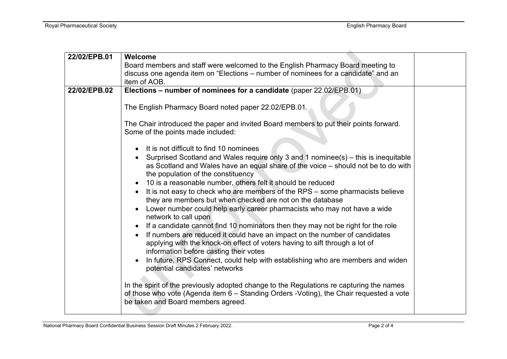| 22/02/EPB.01 | Welcome<br>Board members and staff were welcomed to the English Pharmacy Board meeting to<br>discuss one agenda item on "Elections - number of nominees for a candidate" and an                                                                                                         |  |
|--------------|-----------------------------------------------------------------------------------------------------------------------------------------------------------------------------------------------------------------------------------------------------------------------------------------|--|
|              | item of AOB.                                                                                                                                                                                                                                                                            |  |
| 22/02/EPB.02 | Elections - number of nominees for a candidate (paper 22.02/EPB.01)                                                                                                                                                                                                                     |  |
|              |                                                                                                                                                                                                                                                                                         |  |
|              | The English Pharmacy Board noted paper 22.02/EPB.01.                                                                                                                                                                                                                                    |  |
|              | The Chair introduced the paper and invited Board members to put their points forward.<br>Some of the points made included:                                                                                                                                                              |  |
|              | It is not difficult to find 10 nominees                                                                                                                                                                                                                                                 |  |
|              | Surprised Scotland and Wales require only 3 and 1 nominee(s) – this is inequitable<br>as Scotland and Wales have an equal share of the voice - should not be to do with<br>the population of the constituency<br>10 is a reasonable number, others felt it should be reduced            |  |
|              | It is not easy to check who are members of the RPS - some pharmacists believe<br>they are members but when checked are not on the database                                                                                                                                              |  |
|              | Lower number could help early career pharmacists who may not have a wide<br>network to call upon                                                                                                                                                                                        |  |
|              | If a candidate cannot find 10 nominators then they may not be right for the role<br>If numbers are reduced it could have an impact on the number of candidates<br>applying with the knock-on effect of voters having to sift through a lot of<br>information before casting their votes |  |
|              | In future, RPS Connect, could help with establishing who are members and widen<br>potential candidates' networks                                                                                                                                                                        |  |
|              | In the spirit of the previously adopted change to the Regulations re capturing the names<br>of those who vote (Agenda item 6 - Standing Orders -Voting), the Chair requested a vote<br>be taken and Board members agreed.                                                               |  |
|              |                                                                                                                                                                                                                                                                                         |  |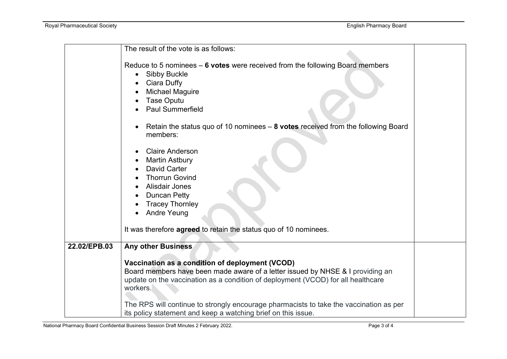|              | The result of the vote is as follows:                                                                                                                                                                                                                                                                                                                                                        |
|--------------|----------------------------------------------------------------------------------------------------------------------------------------------------------------------------------------------------------------------------------------------------------------------------------------------------------------------------------------------------------------------------------------------|
|              | Reduce to 5 nominees $-6$ votes were received from the following Board members<br><b>Sibby Buckle</b><br>$\bullet$<br>Ciara Duffy<br><b>Michael Maguire</b><br><b>Tase Oputu</b><br><b>Paul Summerfield</b>                                                                                                                                                                                  |
|              | Retain the status quo of 10 nominees - 8 votes received from the following Board<br>members:                                                                                                                                                                                                                                                                                                 |
|              | <b>Claire Anderson</b><br><b>Martin Astbury</b><br><b>David Carter</b><br><b>Thorrun Govind</b><br><b>Alisdair Jones</b><br><b>Duncan Petty</b><br><b>Tracey Thornley</b><br><b>Andre Yeung</b><br>It was therefore agreed to retain the status quo of 10 nominees.                                                                                                                          |
| 22.02/EPB.03 | <b>Any other Business</b>                                                                                                                                                                                                                                                                                                                                                                    |
|              | Vaccination as a condition of deployment (VCOD)<br>Board members have been made aware of a letter issued by NHSE & I providing an<br>update on the vaccination as a condition of deployment (VCOD) for all healthcare<br>workers.<br>The RPS will continue to strongly encourage pharmacists to take the vaccination as per<br>its policy statement and keep a watching brief on this issue. |